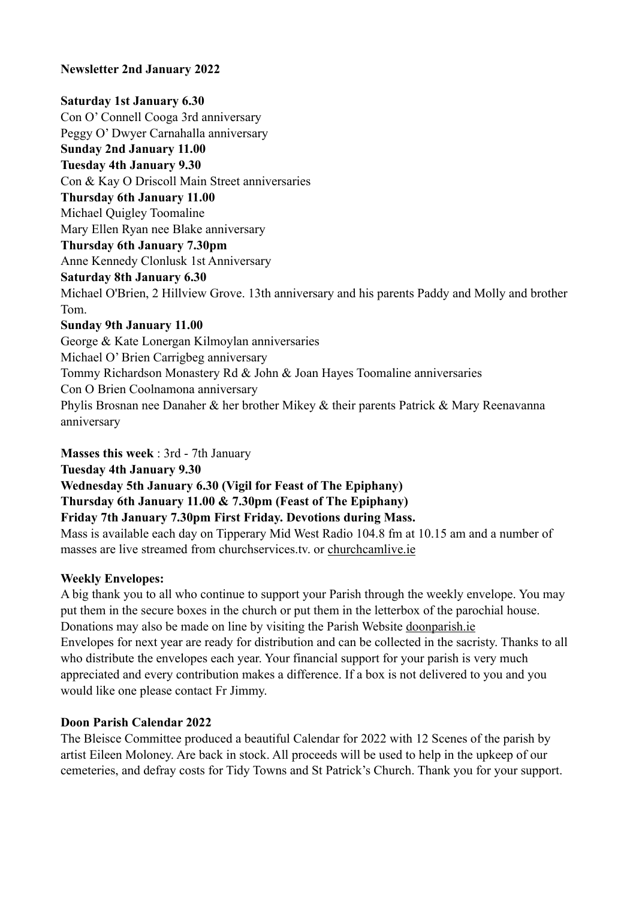# **Newsletter 2nd January 2022**

# **Saturday 1st January 6.30**

Con O' Connell Cooga 3rd anniversary Peggy O' Dwyer Carnahalla anniversary **Sunday 2nd January 11.00 Tuesday 4th January 9.30** Con & Kay O Driscoll Main Street anniversaries **Thursday 6th January 11.00** Michael Quigley Toomaline Mary Ellen Ryan nee Blake anniversary **Thursday 6th January 7.30pm** Anne Kennedy Clonlusk 1st Anniversary **Saturday 8th January 6.30** Michael O'Brien, 2 Hillview Grove. 13th anniversary and his parents Paddy and Molly and brother Tom. **Sunday 9th January 11.00** George & Kate Lonergan Kilmoylan anniversaries Michael O' Brien Carrigbeg anniversary Tommy Richardson Monastery Rd & John & Joan Hayes Toomaline anniversaries Con O Brien Coolnamona anniversary Phylis Brosnan nee Danaher & her brother Mikey & their parents Patrick & Mary Reenavanna

anniversary

**Masses this week** : 3rd - 7th January

**Tuesday 4th January 9.30**

**Wednesday 5th January 6.30 (Vigil for Feast of The Epiphany)**

**Thursday 6th January 11.00 & 7.30pm (Feast of The Epiphany)**

**Friday 7th January 7.30pm First Friday. Devotions during Mass.**

Mass is available each day on Tipperary Mid West Radio 104.8 fm at 10.15 am and a number of masses are live streamed from churchservices.tv. or [churchcamlive.ie](http://churchcamlive.ie)

# **Weekly Envelopes:**

A big thank you to all who continue to support your Parish through the weekly envelope. You may put them in the secure boxes in the church or put them in the letterbox of the parochial house. Donations may also be made on line by visiting the Parish Website [doonparish.ie](http://doonparish.ie) Envelopes for next year are ready for distribution and can be collected in the sacristy. Thanks to all who distribute the envelopes each year. Your financial support for your parish is very much appreciated and every contribution makes a difference. If a box is not delivered to you and you would like one please contact Fr Jimmy.

# **Doon Parish Calendar 2022**

The Bleisce Committee produced a beautiful Calendar for 2022 with 12 Scenes of the parish by artist Eileen Moloney. Are back in stock. All proceeds will be used to help in the upkeep of our cemeteries, and defray costs for Tidy Towns and St Patrick's Church. Thank you for your support.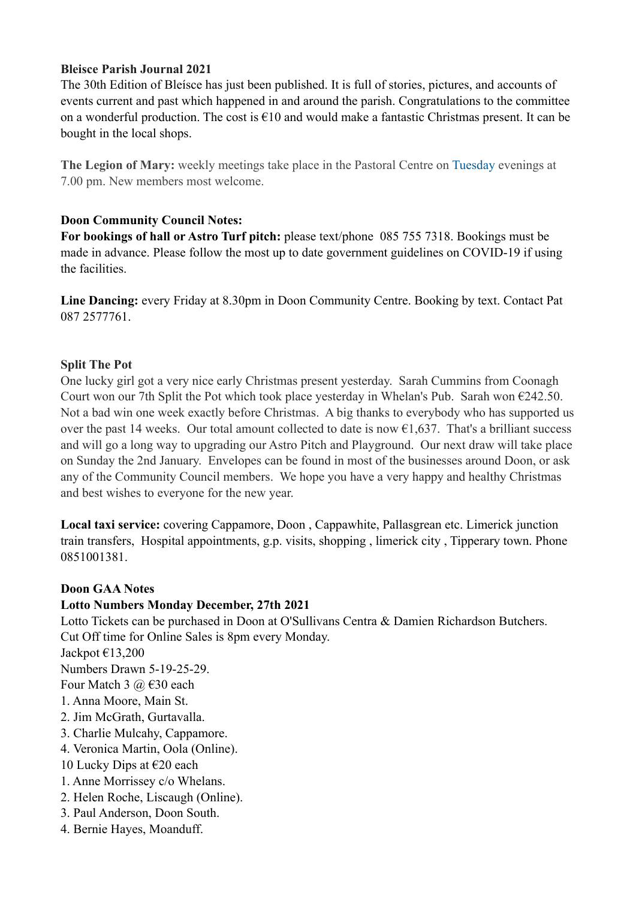# **Bleisce Parish Journal 2021**

The 30th Edition of Bleísce has just been published. It is full of stories, pictures, and accounts of events current and past which happened in and around the parish. Congratulations to the committee on a wonderful production. The cost is €10 and would make a fantastic Christmas present. It can be bought in the local shops.

**The Legion of Mary:** weekly meetings take place in the Pastoral Centre on Tuesday evenings at 7.00 pm. New members most welcome.

# **Doon Community Council Notes:**

**For bookings of hall or Astro Turf pitch:** please text/phone 085 755 7318. Bookings must be made in advance. Please follow the most up to date government guidelines on COVID-19 if using the facilities.

**Line Dancing:** every Friday at 8.30pm in Doon Community Centre. Booking by text. Contact Pat 087 2577761.

# **Split The Pot**

One lucky girl got a very nice early Christmas present yesterday. Sarah Cummins from Coonagh Court won our 7th Split the Pot which took place yesterday in Whelan's Pub. Sarah won  $\epsilon$ 242.50. Not a bad win one week exactly before Christmas. A big thanks to everybody who has supported us over the past 14 weeks. Our total amount collected to date is now  $\epsilon$ 1,637. That's a brilliant success and will go a long way to upgrading our Astro Pitch and Playground. Our next draw will take place on Sunday the 2nd January. Envelopes can be found in most of the businesses around Doon, or ask any of the Community Council members. We hope you have a very happy and healthy Christmas and best wishes to everyone for the new year.

**Local taxi service:** covering Cappamore, Doon , Cappawhite, Pallasgrean etc. Limerick junction train transfers, Hospital appointments, g.p. visits, shopping , limerick city , Tipperary town. Phone 0851001381.

# **Doon GAA Notes**

# **Lotto Numbers Monday December, 27th 2021**

Lotto Tickets can be purchased in Doon at O'Sullivans Centra & Damien Richardson Butchers. Cut Off time for Online Sales is 8pm every Monday.

Jackpot €13,200

Numbers Drawn 5-19-25-29.

Four Match 3  $\omega \in 30$  each

- 1. Anna Moore, Main St.
- 2. Jim McGrath, Gurtavalla.
- 3. Charlie Mulcahy, Cappamore.
- 4. Veronica Martin, Oola (Online).
- 10 Lucky Dips at €20 each
- 1. Anne Morrissey c/o Whelans.
- 2. Helen Roche, Liscaugh (Online).
- 3. Paul Anderson, Doon South.
- 4. Bernie Hayes, Moanduff.